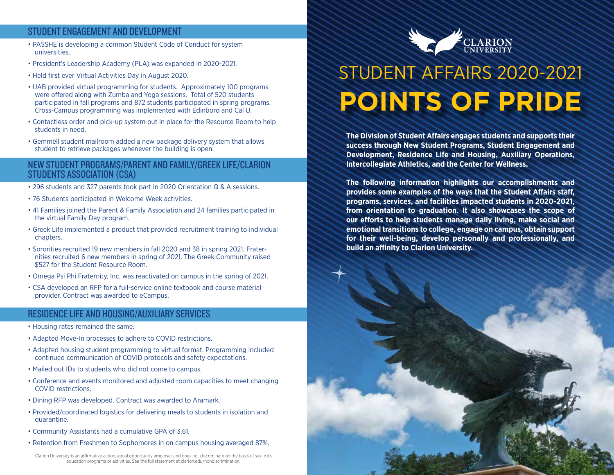### STUDENT ENGAGEMENT AND DEVELOPMENT

- PASSHE is developing a common Student Code of Conduct for system universities.
- President's Leadership Academy (PLA) was expanded in 2020-2021.
- Held first ever Virtual Activities Day in August 2020.
- UAB provided virtual programming for students. Approximately 100 programs were offered along with Zumba and Yoga sessions. Total of 520 students participated in fall programs and 872 students participated in spring programs. Cross-Campus programming was implemented with Edinboro and Cal U.
- Contactless order and pick-up system put in place for the Resource Room to help students in need.
- Gemmell student mailroom added a new package delivery system that allows student to retrieve packages whenever the building is open.

#### NEW STUDENT PROGRAMS/PARENT AND FAMILY/GREEK LIFE/CLARION STUDENTS ASSOCIATION (CSA)

- 296 students and 327 parents took part in 2020 Orientation Q & A sessions.
- 76 Students participated in Welcome Week activities.
- 41 Families joined the Parent & Family Association and 24 families participated in the virtual Family Day program.
- Greek Life implemented a product that provided recruitment training to individual chapters.
- Sororities recruited 19 new members in fall 2020 and 38 in spring 2021. Fraternities recruited 6 new members in spring of 2021. The Greek Community raised \$527 for the Student Resource Room.
- Omega Psi Phi Fraternity, Inc. was reactivated on campus in the spring of 2021.
- CSA developed an RFP for a full-service online textbook and course material provider. Contract was awarded to eCampus.

### RESIDENCE LIFE AND HOUSING/AUXILIARY SERVICES

- Housing rates remained the same.
- Adapted Move-In processes to adhere to COVID restrictions.
- Adapted housing student programming to virtual format. Programming included continued communication of COVID protocols and safety expectations.
- Mailed out IDs to students who did not come to campus.
- Conference and events monitored and adjusted room capacities to meet changing COVID restrictions.
- Dining RFP was developed. Contract was awarded to Aramark.
- Provided/coordinated logistics for delivering meals to students in isolation and quarantine.
- Community Assistants had a cumulative GPA of 3.61.
- Retention from Freshmen to Sophomores in on campus housing averaged 87%.

Clarion University is an affirmative action, equal opportunity employer and does not discriminate on the basis of sex in its education programs or activities. See the full statement at clarion.edu/nondiscrimination.



# STUDENT AFFAIRS 2020-2021 **POINTS OF PRIDE**

**The Division of Student Affairs engages students and supports their success through New Student Programs, Student Engagement and Development, Residence Life and Housing, Auxiliary Operations, Intercollegiate Athletics, and the Center for Wellness.**

**The following information highlights our accomplishments and provides some examples of the ways that the Student Affairs staff, programs, services, and facilities impacted students in 2020-2021, from orientation to graduation. It also showcases the scope of our efforts to help students manage daily living, make social and emotional transitions to college, engage on campus, obtain support for their well-being, develop personally and professionally, and build an affinity to Clarion University.**